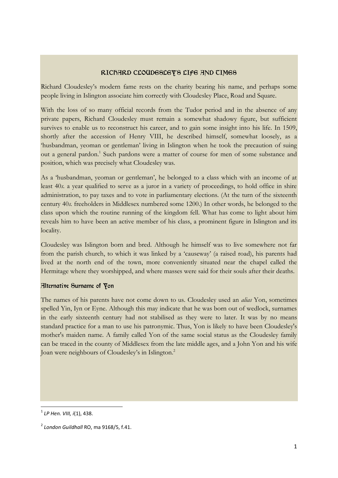## RICFARD CLOUDESLEY'S LIFE AND CIMES

Richard Cloudesley's modern fame rests on the charity bearing his name, and perhaps some people living in Islington associate him correctly with Cloudesley Place, Road and Square.

With the loss of so many official records from the Tudor period and in the absence of any private papers, Richard Cloudesley must remain a somewhat shadowy figure, but sufficient survives to enable us to reconstruct his career, and to gain some insight into his life. In 1509, shortly after the accession of Henry VIII, he described himself, somewhat loosely, as a 'husbandman, yeoman or gentleman' living in Islington when he took the precaution of suing out a general pardon. 1 Such pardons were a matter of course for men of some substance and position, which was precisely what Cloudesley was.

As a 'husbandman, yeoman or gentleman', he belonged to a class which with an income of at least 40*s.* a year qualified to serve as a juror in a variety of proceedings, to hold office in shire administration, to pay taxes and to vote in parliamentary elections. (At the turn of the sixteenth century 40*s.* freeholders in Middlesex numbered some 1200.) In other words, he belonged to the class upon which the routine running of the kingdom fell. What has come to light about him reveals him to have been an active member of his class, a prominent figure in Islington and its locality.

Cloudesley was Islington born and bred. Although he himself was to live somewhere not far from the parish church, to which it was linked by a 'causeway' (a raised road), his parents had lived at the north end of the town, more conveniently situated near the chapel called the Hermitage where they worshipped, and where masses were said for their souls after their deaths.

### Alternative Surname of Yon

The names of his parents have not come down to us. Cloudesley used an *alias* Yon, sometimes spelled Yin, Iyn or Eyne. Although this may indicate that he was born out of wedlock, surnames in the early sixteenth century had not stabilised as they were to later. It was by no means standard practice for a man to use his patronymic. Thus, Yon is likely to have been Cloudesley's mother's maiden name. A family called Yon of the same social status as the Cloudesley family can be traced in the county of Middlesex from the late middle ages, and a John Yon and his wife Joan were neighbours of Cloudesley's in Islington.<sup>2</sup>

**.** 

<sup>1</sup> *LP Hen. VIII, i*(1), 438.

<sup>2</sup> *London Guildhall* RO, ma 9168/5, f.41.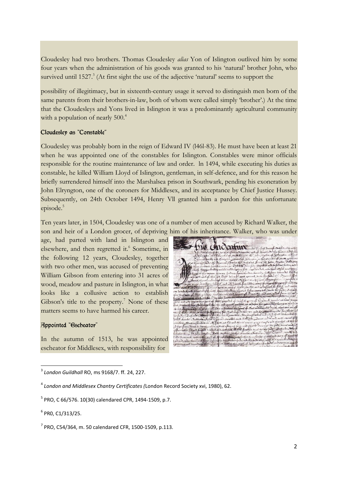Cloudesley had two brothers. Thomas Cloudesley *alias* Yon of Islington outlived him by some four years when the administration of his goods was granted to his 'natural' brother John, who survived until 1527.<sup>3</sup> (At first sight the use of the adjective 'natural' seems to support the

possibility of illegitimacy, but in sixteenth-century usage it served to distinguish men born of the same parents from their brothers-in-law, both of whom were called simply 'brother'.) At the time that the Cloudesleys and Yons lived in Islington it was a predominantly agricultural community with a population of nearly 500.<sup>4</sup>

### Cloudesley as "Constable"

Cloudesley was probably born in the reign of Edward IV (l46l-83). He must have been at least 21 when he was appointed one of the constables for Islington. Constables were minor officials responsible for the routine maintenance of law and order. ln 1494, while executing his duties as constable, he killed William Lloyd of Islington, gentleman, in self-defence, and for this reason he briefly surrendered himself into the Marshalsea prison in Southwark, pending his exoneration by John Elryngton, one of the coroners for Middlesex, and its acceptance by Chief Justice Hussey. Subsequently, on 24th October 1494, Henry Vll granted him a pardon for this unfortunate episode.<sup>5</sup>

Ten years later, in 1504, Cloudesley was one of a number of men accused by Richard Walker, the son and heir of a London grocer, of depriving him of his inheritance. Walker, who was under

age, had parted with land in Islington and elsewhere, and then regretted it.<sup>6</sup> Sometime, in the following 12 years, Cloudesley, together with two other men, was accused of preventing William Gibson from entering into 31 acres of wood, meadow and pasture in Islington, in what looks like a collusive action to establish Gibson's title to the property.<sup>7</sup> None of these matters seems to have harmed his career.

### **Hppointed "**Gscheator"

In the autumn of 1513, he was appointed escheator for Middlesex, with responsibility for

arture Firtue 16 2110 P

**.** 

<sup>3</sup> *London Guildhall* RO, ms 9168/7. ff. 24, 227.

<sup>4</sup> *London and Middlesex Chantry Certificates (*London Record Society xvi, 1980), 62.

<sup>5</sup> PRO, C 66/576. 10(30) calendared CPR, 1494-1509, p.7.

<sup>6</sup> PR0, C1/313/25.

 $7$  PRO, C54/364, m. 50 calendared CFR, 1500-1509, p.113.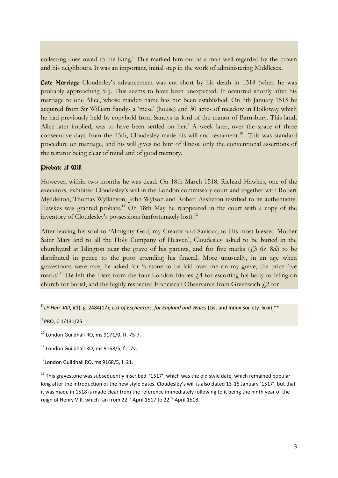collecting dues owed to the King.<sup>8</sup> This marked him out as a man well regarded by the crown and his neighbours. It was an important, initial step in the work of administering Middlesex.

Late Marriage Cloudesley's advancement was cut short by his death in 1518 (when he was probably approaching 50). This seems to have been unexpected. It occurred shortly after his marriage to one Alice, whose maiden name has not been established. On 7th January 1518 he acquired from Sir William Sandys a 'mese' (house) and 30 acres of meadow in Holloway which he had previously held by copyhold from Sandys as lord of the manor of Barnsbury. This land, Alice later implied, was to have been settled on her.<sup>9</sup> A week later, over the space of three consecutive days from the 13th, Cloudesley made his will and testament.<sup>10</sup> This was standard procedure on marriage, and his will gives no hint of illness, only the conventional assertions of the testator being clear of mind and of good memory.

# Drobate of *Will*

However, within two months he was dead. On 18th March 1518, Richard Hawkes, one of the executors, exhibited Cloudesley's will in the London commissary court and together with Robert Myddelton, Thomas Wylkinson, John Wylson and Robert Assheton testified to its authenticity. Hawkes was granted probate.<sup>11</sup> On 18th May he reappeared in the court with a copy of the inventory of Cloudesley's possessions (unfortunately lost).<sup>12</sup>

After leaving his soul to 'Almighty God, my Creator and Saviour, to His most blessed Mother Saint Mary and to all the Holy Company of Heaven', Cloudesley asked to be buried in the churchyard at Islington near the grave of his parents, and for five marks (£3 6*s.* 8*d.*) to be distributed in pence to the poor attending his funeral. More unusually, in an age when gravestones were rare, he asked for 'a stone to be laid over me on my grave, the price five marks'.<sup>13</sup> He left the friars from the four London friaries  $\zeta$ 4 for escorting his body to Islington church for burial, and the highly respected Franciscan Observants from Greenwich  $£2$  for

 $^{9}$  PRO, C 1/131/25.

 $10$  London Guildhall RO, ms 9171/0, ff, 75-7.

 $11$  London Guildhall RO, ms 9168/5, f. 17v.

 $12$ London Guildhall RO, ms 9168/5, f. 21.

 $13$  This gravestone was subsequently inscribed '1517', which was the old style date, which remained popular long after the introduction of the new style dates. Cloudesley's will is also dated 13-15 January '1517', but that it was made in 1518 is made clear from the reference immediately following to it being the ninth year of the reign of Henry VIII, which ran from 22<sup>nd</sup> April 1517 to 22<sup>nd</sup> April 1518.

**<sup>.</sup>** 8 *LP Hen. VIII*, i(1), g. 2484(17); *List of Escheators for England and Wales* (List and Index Society lxxii).\*\*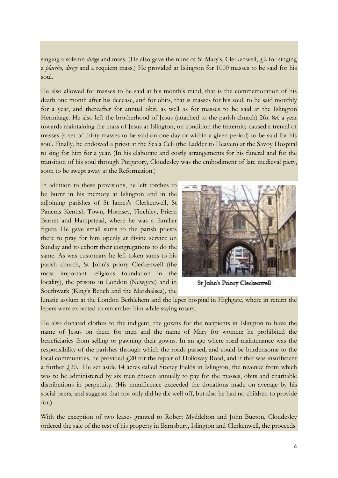singing a solemn *dirige* and mass. (He also gave the nuns of St Mary's, Clerkenwell, £2 for singing a *placebo*, *dirige* and a requiem mass.) He provided at Islington for 1000 masses to be said for his soul.

He also allowed for masses to be said at his month's mind, that is the commemoration of his death one month after his decease, and for obits, that is masses for his soul, to be said monthly for a year, and thereafter for annual obit, as well as for masses to be said at the Islington Hermitage. He also left the brotherhood of Jesus (attached to the parish church) 26*s.* 8*d.* a year towards maintaining the mass of Jesus at Islington, on condition the fraternity caused a trental of masses (a set of thirty masses to be said on one day or within a given period) to be said for his soul. Finally, he endowed a priest at the Scala Celi (the Ladder to Heaven) at the Savoy Hospital to sing for him for a year. (In his elaborate and costly arrangements for his funeral and for the transition of his soul through Purgatory, Cloudesley was the embodiment of late medieval piety, soon to be swept away at the Reformation.)

In addition to these provisions, he left torches to be burnt in his memory at Islington and in the adjoining parishes of St James's Clerkenwell, St Pancras Kentish Town, Hornsey, Finchley, Friern Barnet and Hampstead, where he was a familiar figure. He gave small sums to the parish priests there to pray for him openly at divine service on Sunday and to exhort their congregations to do the same. As was customary he left token sums to his parish church, St John's priory Clerkenwell (the most important religious foundation in the locality), the prisons in London (Newgate) and in Southwark (King's Bench and the Marshalsea), the



St John's Priory Clerkenwell

lunatic asylum at the London Bethlehem and the leper hospital in Highgate, where in return the lepers were expected to remember him while saying rosary.

He also donated clothes to the indigent, the gowns for the recipients in Islington to have the name of Jesus on them for men and the name of Mary for women: he prohibited the beneficiaries from selling or pawning their gowns. In an age where road maintenance was the responsibility of the parishes through which the roads passed, and could be burdensome to the local communities, he provided  $£20$  for the repair of Holloway Road, and if that was insufficient a further  $f(20)$ . He set aside 14 acres called Stoney Fields in Islington, the revenue from which was to be administered by six men chosen annually to pay for the masses, obits and charitable distributions in perpetuity. (His munificence exceeded the donations made on average by his social peers, and suggests that not only did he die well off, but also he had no children to provide for.)

With the exception of two leases granted to Robert Myddelton and John Bucton, Cloudesley ordered the sale of the rest of his property in Barnsbury, Islington and Clerkenwell, the proceeds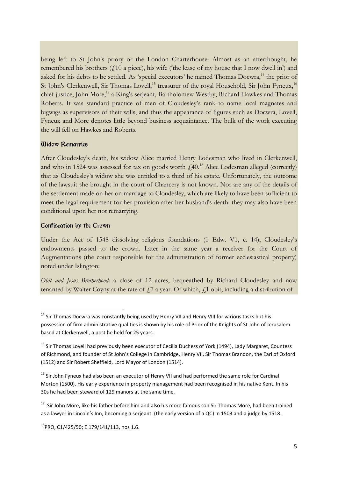being left to St John's priory or the London Charterhouse. Almost as an afterthought, he remembered his brothers  $(f_1 10 a piece)$ , his wife ('the lease of my house that I now dwell in') and asked for his debts to be settled. As 'special executors' he named Thomas Docwra,<sup>14</sup> the prior of St John's Clerkenwell, Sir Thomas Lovell,<sup>15</sup> treasurer of the royal Household, Sir John Fyneux,<sup>16</sup> chief justice, John More,<sup>17</sup> a King's serjeant, Bartholomew Westby, Richard Hawkes and Thomas Roberts. It was standard practice of men of Cloudesley's rank to name local magnates and bigwigs as supervisors of their wills, and thus the appearance of figures such as Docwra, Lovell, Fyneux and More denotes little beyond business acquaintance. The bulk of the work executing the will fell on Hawkes and Roberts.

#### **Midow Remarries**

After Cloudesley's death, his widow Alice married Henry Lodesman who lived in Clerkenwell, and who in 1524 was assessed for tax on goods worth  $\dot{\mu}$  40.<sup>18</sup> Alice Lodesman alleged (correctly) that as Cloudesley's widow she was entitled to a third of his estate. Unfortunately, the outcome of the lawsuit she brought in the court of Chancery is not known. Nor are any of the details of the settlement made on her on marriage to Cloudesley, which are likely to have been sufficient to meet the legal requirement for her provision after her husband's death: they may also have been conditional upon her not remarrying.

#### Confiscation by the Crown

1

Under the Act of 1548 dissolving religious foundations (1 Edw. V1, c. 14), Cloudesley's endowments passed to the crown. Later in the same year a receiver for the Court of Augmentations (the court responsible for the administration of former ecclesiastical property) noted under Islington:

*Obit and Jesus Brotherhood*: a close of 12 acres, bequeathed by Richard Cloudesley and now tenanted by Walter Coyny at the rate of  $\frac{1}{2}$  a year. Of which,  $\frac{1}{2}$  obit, including a distribution of

<sup>&</sup>lt;sup>14</sup> Sir Thomas Docwra was constantly being used by Henry VII and Henry VIII for various tasks but his possession of firm administrative qualities is shown by his role of Prior of the Knights of St John of Jerusalem based at Clerkenwell, a post he held for 25 years.

<sup>&</sup>lt;sup>15</sup> Sir Thomas Lovell had previously been executor of Cecilia Duchess of York (1494), Lady Margaret, Countess of Richmond, and founder of St John's College in Cambridge, Henry VII, Sir Thomas Brandon, the Earl of Oxford (1512) and Sir Robert Sheffield, Lord Mayor of London (1514).

<sup>&</sup>lt;sup>16</sup> Sir John Fyneux had also been an executor of Henry VII and had performed the same role for Cardinal Morton (1500). His early experience in property management had been recognised in his native Kent. In his 30s he had been steward of 129 manors at the same time.

<sup>&</sup>lt;sup>17</sup> Sir John More, like his father before him and also his more famous son Sir Thomas More, had been trained as a lawyer in Lincoln's Inn, becoming a serjeant (the early version of a QC) in 1503 and a judge by 1518.

 $^{18}$ PRO, C1/425/50; E 179/141/113, nos 1.6.